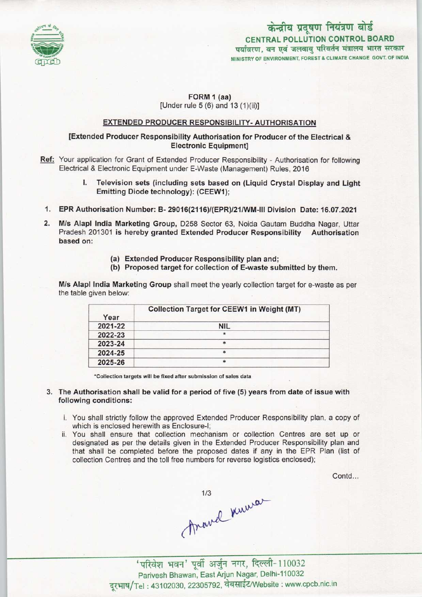

# CENTRAL POLLUTION CONTROL BOARD पर्यावरण, वन एवं जलवायु परिवर्तन मंत्रालय भारत सरकार MINISTRY OF ENVIRONMENT, FOREST & CLIMATE CHANGE GOVT. OF INDIA केन्द्रीय प्रदूषण नियंत्रण बोर्ड

## FORM 1 (aa) [Under rule  $5(6)$  and  $13(1)(ii)$ ]

## EXTENDED PRODUCER RESPONSIBILITY-AUTHORISATION

### [Extended Producer Responsibility Authorisation for Producer of the Electrical & Electronic Equipment]

- Ref: Your application for Grant of Extended Producer Responsibility Authorisation for following Electrical & Electronic Equipment under E-Waste (Management) Rules, 2016
	- I. Television sets (including sets based on (Liquid Crystal Display and Light Emitting Diode technology): (CEEW1);
	- 1.EPR Authorisation Number: B-29016(2116)/(EPR)/21/WM-lll Division Date: 16.07.2021
- 2.M/s Alapl India Marketing Group, D258 Sector 63, Noida Gautam Buddha Nagar, Uttar Pradesh 201301 is hereby granted Extended Producer Responsibility Authorisation based on:
	- (a)Extended Producer Responsibility plan and;
	- (b) Proposed target for collection of E-waste submitted by them.

M/s Alapl India Marketing Group shall meet the yearly collection target for e-waste as per the table given below:

| Year    | <b>Collection Target for CEEW1 in Weight (MT)</b> |
|---------|---------------------------------------------------|
| 2021-22 | <b>NIL</b>                                        |
| 2022-23 | $\star$                                           |
| 2023-24 |                                                   |
| 2024-25 | *                                                 |
| 2025-26 |                                                   |

\*Collection targets will be fixed after submission of sales data

#### 3. The Authorisation shall be valid for a period of five (5) years from date of issue with following conditions:

- i. You shall strictly follow the approved Extended Producer Responsibility plan, a copy of which is enclosed herewith as Enclosure-I;
- ii. You shall ensure that collection mechanism or collection Centres are set up or designated as per the details given in the Extended Producer Responsibility plan and that shall be completed before the proposed dates if any in the EPR Plan (list of collection Centres and the toll free numbers for reverse logistics enclosed);

Contd...

thave knewa

.<br>भवन' पर्वी अर्जन नगर, दिल्ली- 110032 पारवंश भवन - पूर्वा अजुन नगर, गुरुत्ता- 110032<br>Parivesh Bhawan, East Arjun Nagar, Delhi-110032<br>'el : 43102030, 22305792, वेबसाईट/Website : www.cpcb.nic.in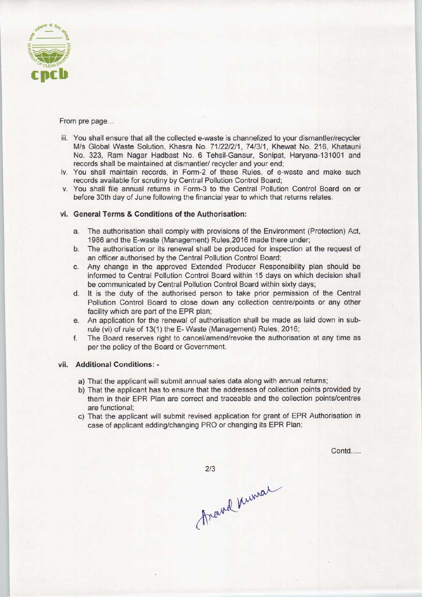

From pre page...

- iii. You shall ensure that all the collected e-waste is channelized to your dismantler/recycler M/s Global Waste Solution, Khasra No. 71/22/2/1, 74/3/1, Khewat No. 216, Khatauni No. 323, Ram Nagar Hadbast No. 6 Tehsil-Ganaur, Sonipat, Haryana-131001 and records shall be maintained at dismantler/ recycler and your end;
- iv. You shall maintain records, in Form-2 of these Rules, of e-waste and make such records available for scrutiny by Central Pollution Control Board;
- v. You shall file annual returns in Form-3 to the Central Pollution Control Board on or before 30th day of June following the financial year to which that returns relates.

#### vi. General Terms & Conditions of the Authorisation:

- a. The authorisation shall comply with provisions of the Environment (Protection) Act, 1986 and the E-waste (Management) Rules,2016 made there under;
- b.The authorisation or its renewal shall be produced for inspection at the request of an officer authorised by the Central Pollution Control Board;
- c.Any change in the approved Extended Producer Responsibility plan should be informed to Central Pollution Control Board within 15 days on which decision shall be communicated by Central Pollution Control Board within sixty days;
- d. It is the duty of the authorised person to take prior permission of the Central Pollution Control Board to close down any collection centre/points or any other facility which are part of the EPR plan;
- e.An application for the renewal of authorisation shall be made as laid down in subrule (vi) of rule of 13(1) the E- Waste (Management) Rules, 2016;
- f. The Board reserves right to cancel/amend/revoke the authorisation at any time as per the policy of the Board or Government.

#### vii. Additional Conditions: -

- a) That the applicant will submit annual sales data along with annual returns;
- b) That the applicant has to ensure that the addresses of collection points provided by them in their EPR Plan are correct and traceable and the collection points/centres are functional;
- c) That the applicant will submit revised application for grant of EPR Authorisation in case of applicant adding/changing PRO or changing its EPR Plan;

Contd....

 $2/3$ 

Arand Numar